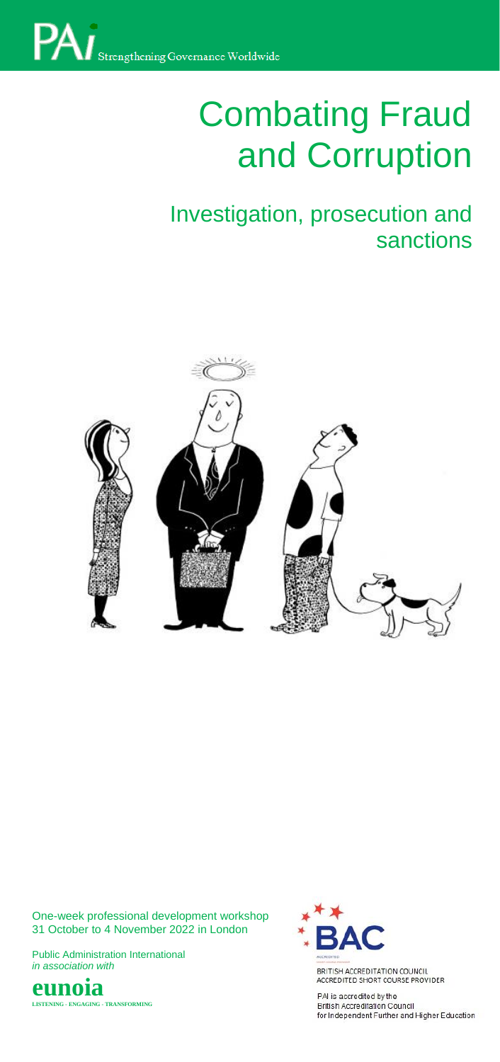# **Combating Fraud** and Corruption

# Investigation, prosecution and sanctions



One-week professional development workshop 31 October to 4 November 2022 in London

Public Administration International *in association with*





ACCREDITED SHORT COURSE PROVIDER

PAI is accredited by the<br>British Accreditation Council for Independent Further and Higher Education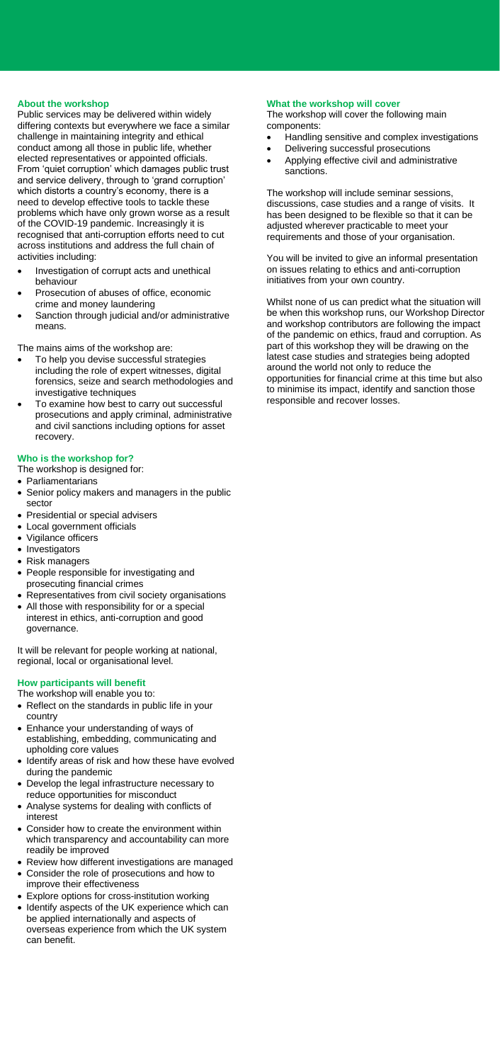# **About the workshop**

**2006 For Workshop**<br>Public services may be delivered within widely **The Workshop** differing contexts but everywhere we face a similar challenge in maintaining integrity and ethical conduct among all those in public life, whether elected representatives or appointed officials. From 'quiet corruption' which damages public trust and service delivery, through to 'grand corruption' which distorts a country's economy, there is a need to develop effective tools to tackle these problems which have only grown worse as a result of the COVID-19 pandemic. Increasingly it is recognised that anti-corruption efforts need to cut across institutions and address the full chain of activities including:

- Investigation of corrupt acts and unethical behaviour
- Prosecution of abuses of office, economic crime and money laundering
- Sanction through judicial and/or administrative means.

The mains aims of the workshop are:

- To help you devise successful strategies including the role of expert witnesses, digital forensics, seize and search methodologies and investigative techniques
- To examine how best to carry out successful prosecutions and apply criminal, administrative and civil sanctions including options for asset recovery.

# **Who is the workshop for?**

The workshop is designed for:

- Parliamentarians
- Senior policy makers and managers in the public sector
- Presidential or special advisers
- Local government officials
- Vigilance officers
- Investigators
- Risk managers
- People responsible for investigating and prosecuting financial crimes
- Representatives from civil society organisations
- All those with responsibility for or a special interest in ethics, anti-corruption and good governance.

It will be relevant for people working at national, regional, local or organisational level.

#### **How participants will benefit**

The workshop will enable you to:

- Reflect on the standards in public life in your country
- Enhance your understanding of ways of establishing, embedding, communicating and upholding core values
- Identify areas of risk and how these have evolved during the pandemic
- Develop the legal infrastructure necessary to reduce opportunities for misconduct
- Analyse systems for dealing with conflicts of interest
- Consider how to create the environment within which transparency and accountability can more readily be improved
- Review how different investigations are managed
- Consider the role of prosecutions and how to improve their effectiveness
- Explore options for cross-institution working
- Identify aspects of the UK experience which can be applied internationally and aspects of overseas experience from which the UK system can benefit.

# **What the workshop will cover**

The workshop will cover the following main components:

- Handling sensitive and complex investigations
- Delivering successful prosecutions
- Applying effective civil and administrative sanctions.

The workshop will include seminar sessions, discussions, case studies and a range of visits. It has been designed to be flexible so that it can be adjusted wherever practicable to meet your requirements and those of your organisation.

You will be invited to give an informal presentation on issues relating to ethics and anti-corruption initiatives from your own country.

Whilst none of us can predict what the situation will be when this workshop runs, our Workshop Director and workshop contributors are following the impact of the pandemic on ethics, fraud and corruption. As part of this workshop they will be drawing on the latest case studies and strategies being adopted around the world not only to reduce the opportunities for financial crime at this time but also to minimise its impact, identify and sanction those responsible and recover losses.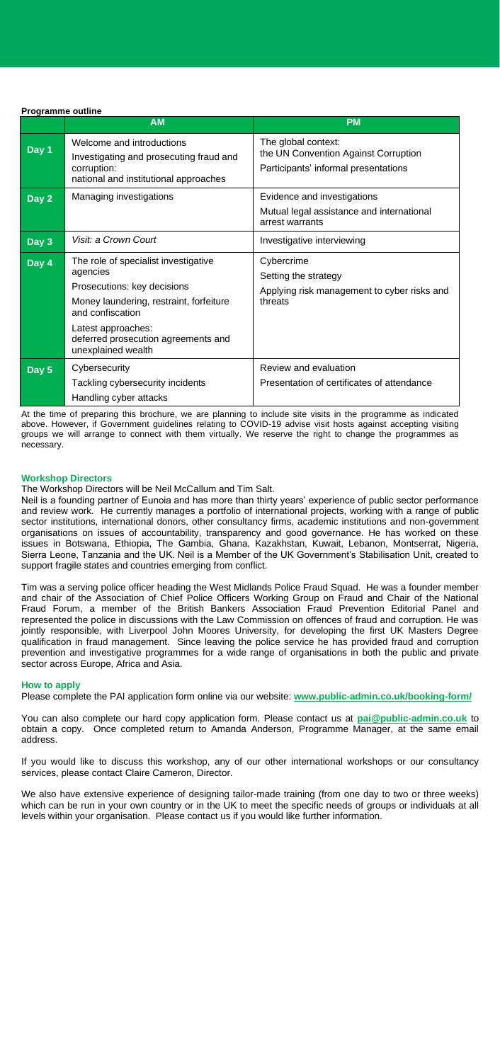| Programme outline |                                                                                                                                                                                                                                   |                                                                                                     |
|-------------------|-----------------------------------------------------------------------------------------------------------------------------------------------------------------------------------------------------------------------------------|-----------------------------------------------------------------------------------------------------|
|                   | <b>AM</b>                                                                                                                                                                                                                         | <b>PM</b>                                                                                           |
| Day 1             | Welcome and introductions<br>Investigating and prosecuting fraud and<br>corruption:<br>national and institutional approaches                                                                                                      | The global context:<br>the UN Convention Against Corruption<br>Participants' informal presentations |
| Day 2             | Managing investigations                                                                                                                                                                                                           | Evidence and investigations<br>Mutual legal assistance and international<br>arrest warrants         |
| Day 3             | Visit: a Crown Court                                                                                                                                                                                                              | Investigative interviewing                                                                          |
| Day 4             | The role of specialist investigative<br>agencies<br>Prosecutions: key decisions<br>Money laundering, restraint, forfeiture<br>and confiscation<br>Latest approaches:<br>deferred prosecution agreements and<br>unexplained wealth | Cybercrime<br>Setting the strategy<br>Applying risk management to cyber risks and<br>threats        |
| Day 5             | Cybersecurity<br>Tackling cybersecurity incidents<br>Handling cyber attacks                                                                                                                                                       | Review and evaluation<br>Presentation of certificates of attendance                                 |

At the time of preparing this brochure, we are planning to include site visits in the programme as indicated above. However, if Government guidelines relating to COVID-19 advise visit hosts against accepting visiting groups we will arrange to connect with them virtually. We reserve the right to change the programmes as necessary.

#### **Workshop Directors**

The Workshop Directors will be Neil McCallum and Tim Salt.

Neil is a founding partner of Eunoia and has more than thirty years' experience of public sector performance and review work. He currently manages a portfolio of international projects, working with a range of public sector institutions, international donors, other consultancy firms, academic institutions and non-government organisations on issues of accountability, transparency and good governance. He has worked on these issues in Botswana, Ethiopia, The Gambia, Ghana, Kazakhstan, Kuwait, Lebanon, Montserrat, Nigeria, Sierra Leone, Tanzania and the UK. Neil is a Member of the UK Government's Stabilisation Unit, created to support fragile states and countries emerging from conflict.

jointly responsible, with Liverpool John Moores University, for developing the first UK Masters Degree<br>qualification in fraud management. Since looving the police convice be has provided fraud and corruption Tim was a serving police officer heading the West Midlands Police Fraud Squad. He was a founder member and chair of the Association of Chief Police Officers Working Group on Fraud and Chair of the National Fraud Forum, a member of the British Bankers Association Fraud Prevention Editorial Panel and represented the police in discussions with the Law Commission on offences of fraud and corruption. He was qualification in fraud management. Since leaving the police service he has provided fraud and corruption prevention and investigative programmes for a wide range of organisations in both the public and private sector across Europe, Africa and Asia.

#### **How to apply**

Please complete the PAI application form online via our website: **[www.public-admin.co.uk/booking-form/](http://www.public-admin.co.uk/booking-form/)**

You can also complete our hard copy application form. Please contact us at **[pai@public-admin.co.uk](mailto:pai@public-admin.co.uk)** to obtain a copy. Once completed return to Amanda Anderson, Programme Manager, at the same email address.

If you would like to discuss this workshop, any of our other international workshops or our consultancy services, please contact Claire Cameron, Director.

We also have extensive experience of designing tailor-made training (from one day to two or three weeks) which can be run in your own country or in the UK to meet the specific needs of groups or individuals at all levels within your organisation. Please contact us if you would like further information.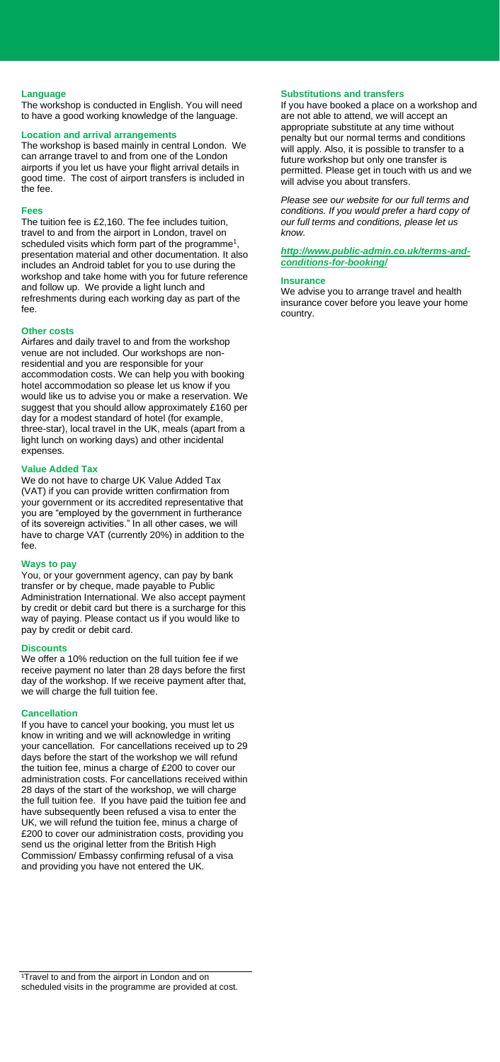#### **Language**

The workshop is conducted in English. You will need to have a good working knowledge of the language.

#### **Location and arrival arrangements**

The workshop is based mainly in central London. We can arrange travel to and from one of the London airports if you let us have your flight arrival details in good time. The cost of airport transfers is included in the fee.

#### **Fees**

The tuition fee is £2,160. The fee includes tuition, travel to and from the airport in London, travel on scheduled visits which form part of the programme<sup>1</sup>, presentation material and other documentation. It also includes an Android tablet for you to use during the workshop and take home with you for future reference and follow up. We provide a light lunch and refreshments during each working day as part of the fee.

#### **Other costs**

Airfares and daily travel to and from the workshop venue are not included. Our workshops are nonresidential and you are responsible for your accommodation costs. We can help you with booking hotel accommodation so please let us know if you would like us to advise you or make a reservation. We suggest that you should allow approximately £160 per day for a modest standard of hotel (for example, three-star), local travel in the UK, meals (apart from a light lunch on working days) and other incidental expenses.

#### **Value Added Tax**

We do not have to charge UK Value Added Tax (VAT) if you can provide written confirmation from your government or its accredited representative that you are "employed by the government in furtherance of its sovereign activities." In all other cases, we will have to charge VAT (currently 20%) in addition to the fee.

#### **Ways to pay**

You, or your government agency, can pay by bank transfer or by cheque, made payable to Public Administration International. We also accept payment by credit or debit card but there is a surcharge for this way of paying. Please contact us if you would like to pay by credit or debit card.

# **Discounts**

We offer a 10% reduction on the full tuition fee if we receive payment no later than 28 days before the first day of the workshop. If we receive payment after that, we will charge the full tuition fee.

#### **Cancellation**

If you have to cancel your booking, you must let us know in writing and we will acknowledge in writing your cancellation. For cancellations received up to 29 days before the start of the workshop we will refund the tuition fee, minus a charge of £200 to cover our administration costs. For cancellations received within 28 days of the start of the workshop, we will charge the full tuition fee. If you have paid the tuition fee and have subsequently been refused a visa to enter the UK, we will refund the tuition fee, minus a charge of £200 to cover our administration costs, providing you send us the original letter from the British High Commission/ Embassy confirming refusal of a visa and providing you have not entered the UK.

#### **Substitutions and transfers**

If you have booked a place on a workshop and are not able to attend, we will accept an appropriate substitute at any time without penalty but our normal terms and conditions will apply. Also, it is possible to transfer to a future workshop but only one transfer is permitted. Please get in touch with us and we will advise you about transfers.

*Please see our website for our full terms and conditions. If you would prefer a hard copy of our full terms and conditions, please let us know.* 

*[http://www.public-admin.co.uk/terms-and](http://www.public-admin.co.uk/terms-and-conditions-for-booking/)[conditions-for-booking/](http://www.public-admin.co.uk/terms-and-conditions-for-booking/)*

#### **Insurance**

We advise you to arrange travel and health insurance cover before you leave your home country.

<sup>&</sup>lt;sup>1</sup>Travel to and from the airport in London and on scheduled visits in the programme are provided at cost.